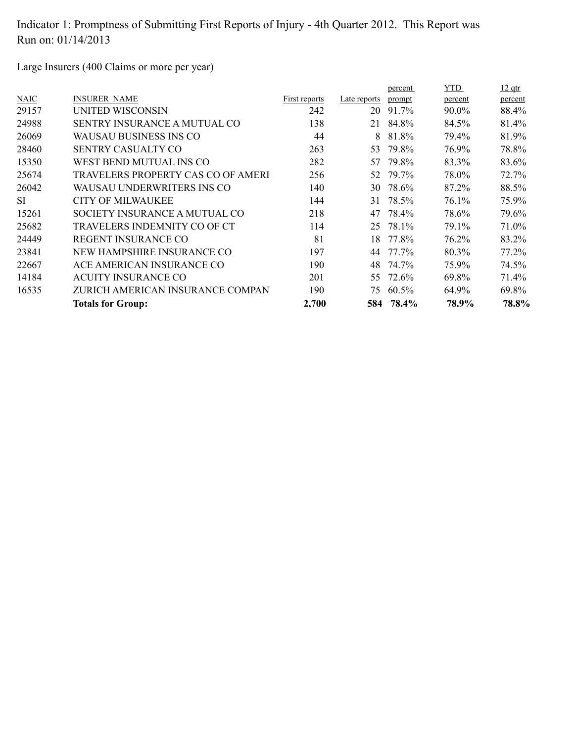Large Insurers (400 Claims or more per year)

|             |                                     |               |              | percent | <b>YTD</b> | $12$ qtr |
|-------------|-------------------------------------|---------------|--------------|---------|------------|----------|
| <b>NAIC</b> | <b>INSURER NAME</b>                 | First reports | Late reports | prompt  | percent    | percent  |
| 29157       | UNITED WISCONSIN                    | 242           | 20           | 91.7%   | 90.0%      | 88.4%    |
| 24988       | <b>SENTRY INSURANCE A MUTUAL CO</b> | 138           | 21           | 84.8%   | 84.5%      | 81.4%    |
| 26069       | WAUSAU BUSINESS INS CO              | 44            | 8            | 81.8%   | 79.4%      | 81.9%    |
| 28460       | <b>SENTRY CASUALTY CO</b>           | 263           | 53.          | 79.8%   | 76.9%      | 78.8%    |
| 15350       | WEST BEND MUTUAL INS CO             | 282           | 57           | 79.8%   | 83.3%      | 83.6%    |
| 25674       | TRAVELERS PROPERTY CAS CO OF AMERI  | 256           | 52           | 79.7%   | 78.0%      | 72.7%    |
| 26042       | WAUSAU UNDERWRITERS INS CO          | 140           | 30           | 78.6%   | 87.2%      | 88.5%    |
| <b>SI</b>   | CITY OF MILWAUKEE                   | 144           | 31           | 78.5%   | 76.1%      | 75.9%    |
| 15261       | SOCIETY INSURANCE A MUTUAL CO       | 218           | 47           | 78.4%   | 78.6%      | 79.6%    |
| 25682       | TRAVELERS INDEMNITY CO OF CT        | 114           | 25           | 78.1%   | 79.1%      | 71.0%    |
| 24449       | REGENT INSURANCE CO                 | 81            | 18           | 77.8%   | 76.2%      | 83.2%    |
| 23841       | NEW HAMPSHIRE INSURANCE CO          | 197           | 44           | 77.7%   | 80.3%      | 77.2%    |
| 22667       | ACE AMERICAN INSURANCE CO           | 190           | 48           | 74.7%   | 75.9%      | 74.5%    |
| 14184       | <b>ACUITY INSURANCE CO</b>          | 201           | 55.          | 72.6%   | 69.8%      | 71.4%    |
| 16535       | ZURICH AMERICAN INSURANCE COMPAN    | 190           | 75.          | 60.5%   | 64.9%      | 69.8%    |
|             | <b>Totals for Group:</b>            | 2,700         | 584          | 78.4%   | 78.9%      | 78.8%    |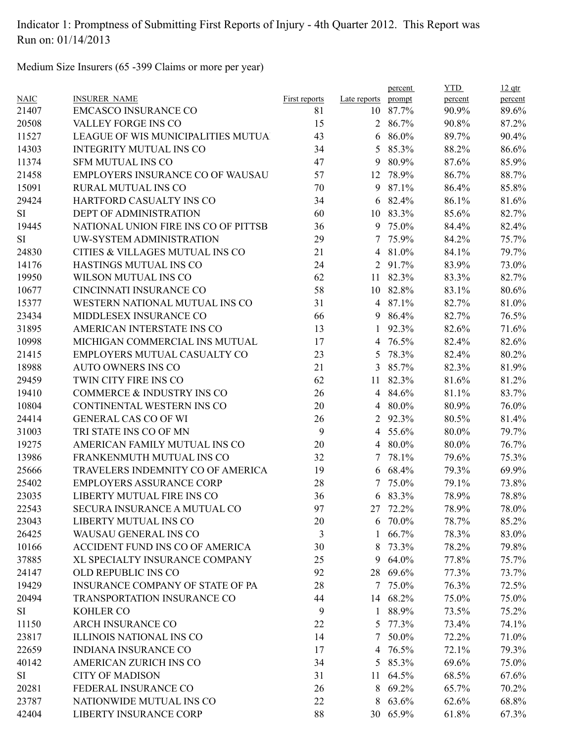Medium Size Insurers (65 -399 Claims or more per year)

| <b>NAIC</b> | <b>INSURER NAME</b>                     | <b>First reports</b> | Late reports   | percent<br>prompt | <b>YTD</b><br>percent | $12$ qtr<br>percent |
|-------------|-----------------------------------------|----------------------|----------------|-------------------|-----------------------|---------------------|
| 21407       | <b>EMCASCO INSURANCE CO</b>             | 81                   |                | 10 87.7%          | 90.9%                 | 89.6%               |
| 20508       | VALLEY FORGE INS CO                     | 15                   |                | 2 86.7%           | 90.8%                 | 87.2%               |
| 11527       | LEAGUE OF WIS MUNICIPALITIES MUTUA      | 43                   |                | $686.0\%$         | 89.7%                 | 90.4%               |
| 14303       | <b>INTEGRITY MUTUAL INS CO</b>          | 34                   | 5              | 85.3%             | 88.2%                 | 86.6%               |
| 11374       | <b>SFM MUTUAL INS CO</b>                | 47                   | 9              | 80.9%             | 87.6%                 | 85.9%               |
| 21458       | <b>EMPLOYERS INSURANCE CO OF WAUSAU</b> | 57                   | 12             | 78.9%             | 86.7%                 | 88.7%               |
| 15091       | <b>RURAL MUTUAL INS CO</b>              | 70                   | 9              | 87.1%             | 86.4%                 | 85.8%               |
| 29424       | HARTFORD CASUALTY INS CO                | 34                   |                | 6 82.4%           | 86.1%                 | 81.6%               |
| SI          | DEPT OF ADMINISTRATION                  | 60                   |                | 10 83.3%          | 85.6%                 | 82.7%               |
| 19445       | NATIONAL UNION FIRE INS CO OF PITTSB    | 36                   |                | 9 75.0%           | 84.4%                 | 82.4%               |
| SI          | UW-SYSTEM ADMINISTRATION                | 29                   | 7              | 75.9%             | 84.2%                 | 75.7%               |
| 24830       | CITIES & VILLAGES MUTUAL INS CO         | 21                   | $\overline{4}$ | 81.0%             | 84.1%                 | 79.7%               |
| 14176       | HASTINGS MUTUAL INS CO                  | 24                   |                | 2 91.7%           | 83.9%                 | 73.0%               |
| 19950       | WILSON MUTUAL INS CO                    | 62                   |                | 11 82.3%          | 83.3%                 | 82.7%               |
| 10677       | CINCINNATI INSURANCE CO                 | 58                   |                | 10 82.8%          | 83.1%                 | 80.6%               |
| 15377       | WESTERN NATIONAL MUTUAL INS CO          | 31                   |                | 4 87.1%           | 82.7%                 | 81.0%               |
| 23434       | MIDDLESEX INSURANCE CO                  | 66                   |                | 9 86.4%           | 82.7%                 | 76.5%               |
| 31895       | AMERICAN INTERSTATE INS CO              | 13                   | 1              | 92.3%             | 82.6%                 | 71.6%               |
| 10998       | MICHIGAN COMMERCIAL INS MUTUAL          | 17                   | 4              | 76.5%             | 82.4%                 | 82.6%               |
| 21415       | EMPLOYERS MUTUAL CASUALTY CO            | 23                   | 5              | 78.3%             | 82.4%                 | 80.2%               |
| 18988       | <b>AUTO OWNERS INS CO</b>               | 21                   | 3              | 85.7%             | 82.3%                 | 81.9%               |
| 29459       | TWIN CITY FIRE INS CO                   | 62                   |                | 11 82.3%          | 81.6%                 | 81.2%               |
| 19410       | COMMERCE & INDUSTRY INS CO              | 26                   |                | 4 84.6%           | 81.1%                 | 83.7%               |
| 10804       | CONTINENTAL WESTERN INS CO              | 20                   |                | 4 80.0%           | 80.9%                 | 76.0%               |
| 24414       | <b>GENERAL CAS CO OF WI</b>             | 26                   | $\overline{2}$ | 92.3%             | 80.5%                 | 81.4%               |
| 31003       | TRI STATE INS CO OF MN                  | 9                    |                | 4 55.6%           | 80.0%                 | 79.7%               |
| 19275       | AMERICAN FAMILY MUTUAL INS CO           | 20                   | $\overline{4}$ | 80.0%             | 80.0%                 | 76.7%               |
| 13986       | FRANKENMUTH MUTUAL INS CO               | 32                   | 7              | 78.1%             | 79.6%                 | 75.3%               |
| 25666       | TRAVELERS INDEMNITY CO OF AMERICA       | 19                   |                | 6 68.4%           | 79.3%                 | 69.9%               |
| 25402       | EMPLOYERS ASSURANCE CORP                | 28                   | 7              | 75.0%             | 79.1%                 | 73.8%               |
| 23035       | LIBERTY MUTUAL FIRE INS CO              | 36                   |                | 6 83.3%           | 78.9%                 | 78.8%               |
| 22543       | SECURA INSURANCE A MUTUAL CO            | 97                   |                | 27 72.2%          | 78.9%                 | 78.0%               |
| 23043       | LIBERTY MUTUAL INS CO                   | 20                   |                | $6\quad 70.0\%$   | 78.7%                 | 85.2%               |
| 26425       | WAUSAU GENERAL INS CO                   | 3                    |                | $1\quad 66.7\%$   | 78.3%                 | 83.0%               |
| 10166       | ACCIDENT FUND INS CO OF AMERICA         | 30                   | 8              | 73.3%             | 78.2%                 | 79.8%               |
| 37885       | XL SPECIALTY INSURANCE COMPANY          | 25                   | 9              | 64.0%             | 77.8%                 | 75.7%               |
| 24147       | OLD REPUBLIC INS CO                     | 92                   | 28             | 69.6%             | 77.3%                 | 73.7%               |
| 19429       | INSURANCE COMPANY OF STATE OF PA        | 28                   |                | 7 75.0%           | 76.3%                 | 72.5%               |
| 20494       | TRANSPORTATION INSURANCE CO             | 44                   |                | 14 68.2%          | 75.0%                 | 75.0%               |
|             |                                         |                      |                |                   |                       |                     |
| SI          | <b>KOHLER CO</b>                        | 9                    |                | 1 88.9%           | 73.5%                 | 75.2%               |
| 11150       | <b>ARCH INSURANCE CO</b>                | 22                   |                | 5 77.3%           | 73.4%                 | 74.1%               |
| 23817       | <b>ILLINOIS NATIONAL INS CO</b>         | 14                   | $7^{\circ}$    | 50.0%             | 72.2%                 | 71.0%               |
| 22659       | <b>INDIANA INSURANCE CO</b>             | 17                   | 4              | 76.5%             | 72.1%                 | 79.3%               |
| 40142       | AMERICAN ZURICH INS CO                  | 34                   | 5              | 85.3%             | 69.6%                 | 75.0%               |
| SI          | <b>CITY OF MADISON</b>                  | 31                   | 11             | 64.5%             | 68.5%                 | 67.6%               |
| 20281       | FEDERAL INSURANCE CO                    | 26                   | 8              | 69.2%             | 65.7%                 | 70.2%               |
| 23787       | NATIONWIDE MUTUAL INS CO                | 22                   | 8              | 63.6%             | 62.6%                 | 68.8%               |
| 42404       | LIBERTY INSURANCE CORP                  | 88                   |                | 30 65.9%          | 61.8%                 | 67.3%               |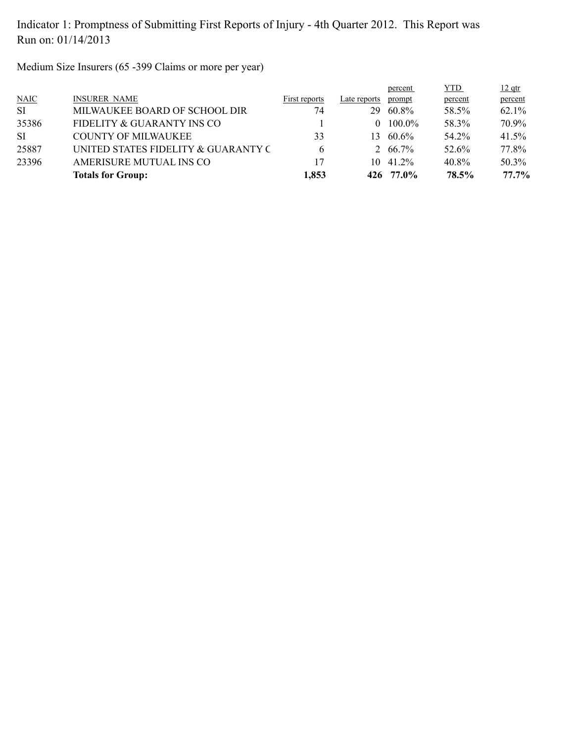Medium Size Insurers (65 -399 Claims or more per year)

|           | <b>Totals for Group:</b>            | 1,853         |              | 426 77.0%       | 78.5%      | 77.7%    |
|-----------|-------------------------------------|---------------|--------------|-----------------|------------|----------|
| 23396     | AMERISURE MUTUAL INS CO             | 17            | 10           | 41.2%           | 40.8%      | 50.3%    |
| 25887     | UNITED STATES FIDELITY & GUARANTY C | 6             |              | $2\quad 66.7\%$ | 52.6%      | 77.8%    |
| SI        | <b>COUNTY OF MILWAUKEE</b>          | 33            | 13           | 60.6%           | 54.2%      | 41.5%    |
| 35386     | FIDELITY & GUARANTY INS CO          |               | $\Omega$     | $100.0\%$       | 58.3%      | 70.9%    |
| <b>SI</b> | MILWAUKEE BOARD OF SCHOOL DIR       | 74            | 29           | 60.8%           | 58.5%      | $62.1\%$ |
| N AIC     | <b>INSURER NAME</b>                 | First reports | Late reports | prompt          | percent    | percent  |
|           |                                     |               |              | percent         | <b>YTD</b> | $12$ qtr |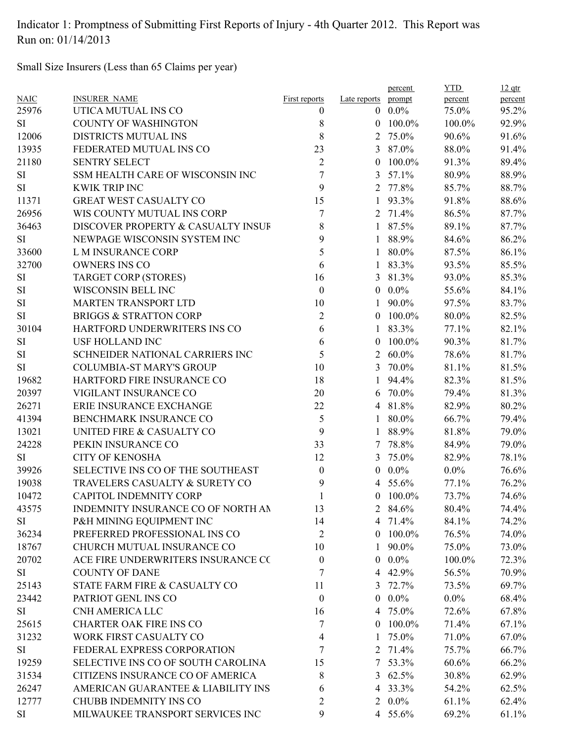Small Size Insurers (Less than 65 Claims per year)

| <b>NAIC</b> | <b>INSURER NAME</b>                | <b>First reports</b>     | Late reports   | percent<br>prompt | <b>YTD</b><br>percent | $12$ qtr<br>percent |
|-------------|------------------------------------|--------------------------|----------------|-------------------|-----------------------|---------------------|
| 25976       | UTICA MUTUAL INS CO                | $\theta$                 |                | $0\quad 0.0\%$    | 75.0%                 | 95.2%               |
| SI          | <b>COUNTY OF WASHINGTON</b>        | 8                        |                | $0$ 100.0%        | 100.0%                | 92.9%               |
| 12006       | DISTRICTS MUTUAL INS               | 8                        | 2              | 75.0%             | 90.6%                 | 91.6%               |
| 13935       | FEDERATED MUTUAL INS CO            | 23                       | 3 <sup>1</sup> | 87.0%             | 88.0%                 | 91.4%               |
| 21180       | <b>SENTRY SELECT</b>               | $\overline{2}$           | $\theta$       | 100.0%            | 91.3%                 | 89.4%               |
| SI          | SSM HEALTH CARE OF WISCONSIN INC   | $\tau$                   | 3              | 57.1%             | 80.9%                 | 88.9%               |
| SI          | <b>KWIK TRIP INC</b>               | 9                        |                | 2 77.8%           | 85.7%                 | 88.7%               |
| 11371       | <b>GREAT WEST CASUALTY CO</b>      | 15                       | $\mathbf{1}$   | 93.3%             | 91.8%                 | 88.6%               |
| 26956       | WIS COUNTY MUTUAL INS CORP         | 7                        |                | 2 71.4%           | 86.5%                 | 87.7%               |
| 36463       | DISCOVER PROPERTY & CASUALTY INSUF | 8                        |                | 1 87.5%           | 89.1%                 | 87.7%               |
| SI          | NEWPAGE WISCONSIN SYSTEM INC       | 9                        |                | 88.9%             | 84.6%                 | 86.2%               |
| 33600       | L M INSURANCE CORP                 | 5                        | 1              | 80.0%             | 87.5%                 | 86.1%               |
| 32700       | <b>OWNERS INS CO</b>               | 6                        | $\mathbf{1}$   | 83.3%             | 93.5%                 | 85.5%               |
| SI          | TARGET CORP (STORES)               | 16                       |                | 3 81.3%           | 93.0%                 | 85.3%               |
| SI          | WISCONSIN BELL INC                 | $\boldsymbol{0}$         |                | $0.0\%$           | 55.6%                 | 84.1%               |
| SI          | MARTEN TRANSPORT LTD               | 10                       | $\mathbf{1}$   | 90.0%             | 97.5%                 | 83.7%               |
| SI          | <b>BRIGGS &amp; STRATTON CORP</b>  | $\overline{c}$           |                | $0$ 100.0%        | 80.0%                 | 82.5%               |
| 30104       | HARTFORD UNDERWRITERS INS CO       | 6                        | 1              | 83.3%             | 77.1%                 | 82.1%               |
| SI          | <b>USF HOLLAND INC</b>             | 6                        | $\theta$       | 100.0%            | 90.3%                 | 81.7%               |
| SI          | SCHNEIDER NATIONAL CARRIERS INC    | 5                        | $\overline{2}$ | 60.0%             | 78.6%                 | 81.7%               |
| SI          | <b>COLUMBIA-ST MARY'S GROUP</b>    | 10                       | 3              | 70.0%             | 81.1%                 | 81.5%               |
| 19682       | HARTFORD FIRE INSURANCE CO         | 18                       | 1              | 94.4%             | 82.3%                 | 81.5%               |
| 20397       | VIGILANT INSURANCE CO              | 20                       | 6              | 70.0%             | 79.4%                 | 81.3%               |
| 26271       | ERIE INSURANCE EXCHANGE            | 22                       |                | 4 81.8%           | 82.9%                 | 80.2%               |
| 41394       | BENCHMARK INSURANCE CO             | 5                        | 1              | 80.0%             | 66.7%                 | 79.4%               |
| 13021       | UNITED FIRE & CASUALTY CO          | 9                        | 1              | 88.9%             | 81.8%                 | 79.0%               |
| 24228       | PEKIN INSURANCE CO                 | 33                       | 7              | 78.8%             | 84.9%                 | 79.0%               |
| SI          | <b>CITY OF KENOSHA</b>             | 12                       | 3              | 75.0%             | 82.9%                 | 78.1%               |
| 39926       | SELECTIVE INS CO OF THE SOUTHEAST  | $\mathbf{0}$             | $\overline{0}$ | $0.0\%$           | $0.0\%$               | 76.6%               |
| 19038       | TRAVELERS CASUALTY & SURETY CO     | 9                        | 4              | 55.6%             | 77.1%                 | 76.2%               |
| 10472       | <b>CAPITOL INDEMNITY CORP</b>      | $\mathbf{1}$             |                | $0$ 100.0%        | 73.7%                 | 74.6%               |
| 43575       | INDEMNITY INSURANCE CO OF NORTH AN | 13                       |                | 2 84.6%           | 80.4%                 | 74.4%               |
| SI          | P&H MINING EQUIPMENT INC           | 14                       |                | 4 71.4%           | 84.1%                 | 74.2%               |
| 36234       | PREFERRED PROFESSIONAL INS CO      | $\overline{2}$           |                | $0$ 100.0%        | 76.5%                 | 74.0%               |
| 18767       | CHURCH MUTUAL INSURANCE CO         | 10                       | 1              | 90.0%             | 75.0%                 | 73.0%               |
| 20702       | ACE FIRE UNDERWRITERS INSURANCE CO | $\mathbf{0}$             | $\overline{0}$ | $0.0\%$           | 100.0%                | 72.3%               |
| SI          | <b>COUNTY OF DANE</b>              | 7                        |                | 4 42.9%           | 56.5%                 | 70.9%               |
| 25143       | STATE FARM FIRE & CASUALTY CO      | 11                       |                | 3 $72.7\%$        | 73.5%                 | 69.7%               |
| 23442       | PATRIOT GENL INS CO                | $\boldsymbol{0}$         | $\overline{0}$ | $0.0\%$           | $0.0\%$               | 68.4%               |
|             | CNH AMERICA LLC                    |                          |                | 4 75.0%           |                       |                     |
| SI          | <b>CHARTER OAK FIRE INS CO</b>     | 16                       |                |                   | 72.6%                 | 67.8%               |
| 25615       |                                    | 7                        | $\overline{0}$ | 100.0%            | 71.4%                 | 67.1%               |
| 31232       | WORK FIRST CASUALTY CO             | $\overline{\mathcal{A}}$ |                | 1 75.0%           | 71.0%                 | 67.0%               |
| SI          | FEDERAL EXPRESS CORPORATION        | 7                        | 2              | 71.4%             | 75.7%                 | 66.7%               |
| 19259       | SELECTIVE INS CO OF SOUTH CAROLINA | 15                       | 7              | 53.3%             | 60.6%                 | 66.2%               |
| 31534       | CITIZENS INSURANCE CO OF AMERICA   | 8                        |                | 3 $62.5%$         | 30.8%                 | 62.9%               |
| 26247       | AMERICAN GUARANTEE & LIABILITY INS | 6                        |                | 4 33.3%           | 54.2%                 | 62.5%               |
| 12777       | <b>CHUBB INDEMNITY INS CO</b>      | 2                        |                | $2\ \ 0.0\%$      | 61.1%                 | 62.4%               |
| SI          | MILWAUKEE TRANSPORT SERVICES INC   | 9                        |                | 4 55.6%           | 69.2%                 | 61.1%               |